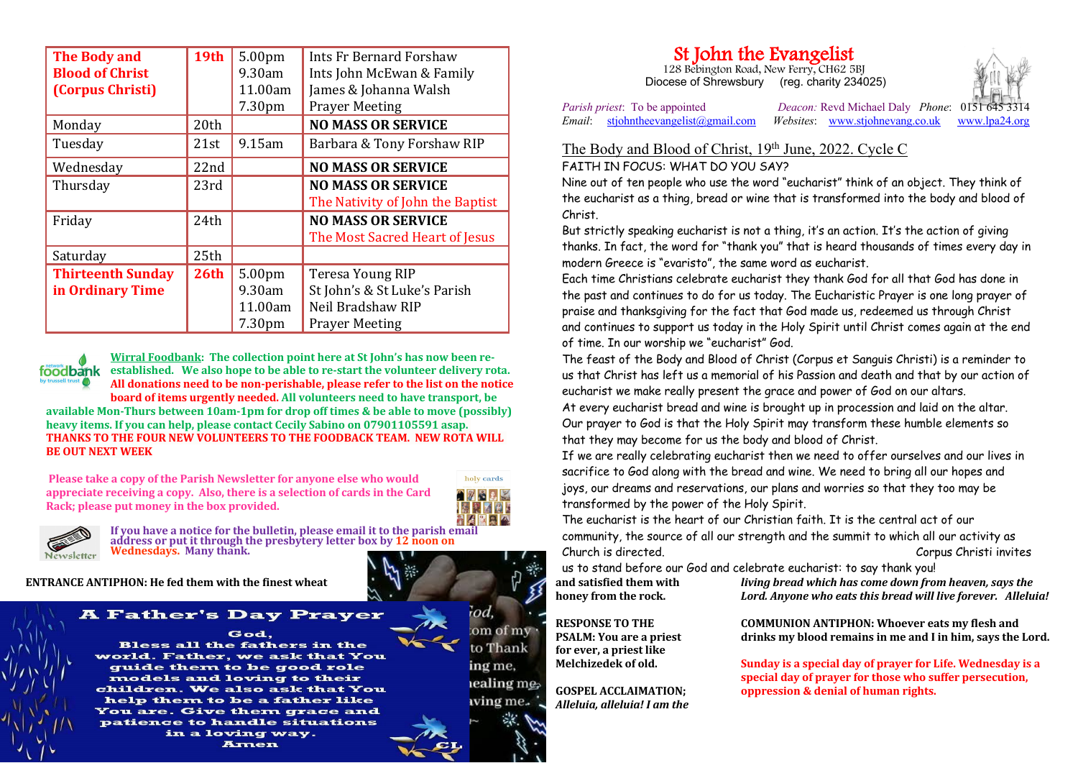| <b>The Body and</b>      | 19th             | 5.00pm    | Ints Fr Bernard Forshaw          |
|--------------------------|------------------|-----------|----------------------------------|
| <b>Blood of Christ</b>   |                  | 9.30am    | Ints John McEwan & Family        |
| (Corpus Christi)         |                  | 11.00am   | James & Johanna Walsh            |
|                          |                  | 7.30pm    | <b>Prayer Meeting</b>            |
| Monday                   | 20th             |           | <b>NO MASS OR SERVICE</b>        |
| Tuesday                  | 21st             | $9.15$ am | Barbara & Tony Forshaw RIP       |
| Wednesday                | 22nd             |           | <b>NO MASS OR SERVICE</b>        |
| Thursday                 | 23rd             |           | <b>NO MASS OR SERVICE</b>        |
|                          |                  |           | The Nativity of John the Baptist |
| Friday                   | 24th             |           | <b>NO MASS OR SERVICE</b>        |
|                          |                  |           | The Most Sacred Heart of Jesus   |
| Saturday                 | 25th             |           |                                  |
| <b>Thirteenth Sunday</b> | 26 <sub>th</sub> | 5.00pm    | <b>Teresa Young RIP</b>          |
| in Ordinary Time         |                  | $9.30$ am | St John's & St Luke's Parish     |
|                          |                  | 11.00am   | Neil Bradshaw RIP                |
|                          |                  | 7.30pm    | <b>Prayer Meeting</b>            |

**Wirral Foodbank:** The collection point here at St John's has now been re**foodbank** established. We also hope to be able to re-start the volunteer delivery rota. All donations need to be non-perishable, please refer to the list on the notice **board of items urgently needed.** All volunteers need to have transport, be **available Mon-Thurs between 10am-1pm for drop off times & be able to move (possibly) heavy items. If you can help, please contact Cecily Sabino on 07901105591 asap. THANKS TO THE FOUR NEW VOLUNTEERS TO THE FOODBACK TEAM. NEW ROTA WILL BE OUT NEXT WEEK** 

**Please take a copy of the Parish Newsletter for anyone else who would** appreciate receiving a copy. Also, there is a selection of cards in the Card **Rack: please put money in the box provided.** 





If you have a notice for the bulletin, please email it to the parish email address or put it through the presbytery letter box by 12 noon on **Wednesdays. Many thank.** 

**ENTRANCE ANTIPHON:** He fed them with the finest wheat  $\mathbf{A} = \mathbf{A} \mathbf{A}$  and satisfied them with

## **A Father's Day Prayer**

God. **Bless all the fathers in the** world. Father, we ask that You guide them to be good role models and loving to their children. We also ask that You help them to be a father like **You are. Give them grace and** patience to handle situations in a loving way. Amen

om of mv to Thank ing me, lealing mes wing me.

od

## **St John the Evangelist** 128 Bebington Road, New Ferry, CH62 5BJ

Diocese of Shrewsbury (reg. charity 234025)

*Parish priest*: To be appointed *Deacon:* Revd Michael Daly *Phone*: 0151 *Email*: stjohntheevangelist@gmail.com *Websites*: www.stjohnevang.co.uk www. *Email*: stjohntheevangelist@gmail.com *Websites*: www.stjohnevang.co.uk www.lpa24.org

## The Body and Blood of Christ, 19th June, 2022. Cycle C FAITH IN FOCUS: WHAT DO YOU SAY?

Nine out of ten people who use the word "eucharist" think of an object. They think of the eucharist as a thing, bread or wine that is transformed into the body and blood of Christ.

But strictly speaking eucharist is not a thing, it's an action. It's the action of giving thanks. In fact, the word for "thank you" that is heard thousands of times every day in modern Greece is "evaristo", the same word as eucharist.

Each time Christians celebrate eucharist they thank God for all that God has done in the past and continues to do for us today. The Eucharistic Prayer is one long prayer of praise and thanksgiving for the fact that God made us, redeemed us through Christ and continues to support us today in the Holy Spirit until Christ comes again at the end of time. In our worship we "eucharist" God.

The feast of the Body and Blood of Christ (Corpus et Sanguis Christi) is a reminder to us that Christ has left us a memorial of his Passion and death and that by our action of eucharist we make really present the grace and power of God on our altars.

At every eucharist bread and wine is brought up in procession and laid on the altar. Our prayer to God is that the Holy Spirit may transform these humble elements so that they may become for us the body and blood of Christ.

If we are really celebrating eucharist then we need to offer ourselves and our lives in sacrifice to God along with the bread and wine. We need to bring all our hopes and joys, our dreams and reservations, our plans and worries so that they too may be transformed by the power of the Holy Spirit.

The eucharist is the heart of our Christian faith. It is the central act of our community, the source of all our strength and the summit to which all our activity as Church is directed. Corpus Christi invites

us to stand before our God and celebrate eucharist: to say thank you!

honey from the rock.

*living bread which has come down from heaven, says the* Lord. Anyone who eats this bread will live forever. Alleluia!

**RESPONSE TO THE PSALM:** You are a priest for ever, a priest like **Melchizedek of old.**

**GOSPEL ACCLAIMATION:** *Alleluia, alleluia! I am the*  drinks my blood remains in me and I in him, says the Lord.

**COMMUNION ANTIPHON: Whoever eats my flesh and** 

**Sunday is a special day of prayer for Life. Wednesday is a** special day of prayer for those who suffer persecution. **oppression & denial of human rights.**